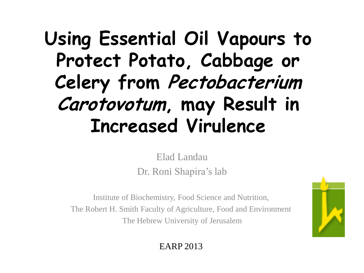#### **Using Essential Oil Vapours to Protect Potato, Cabbage or Celery from Pectobacterium Carotovotum, may Result in Increased Virulence**

Elad Landau Dr. Roni Shapira's lab

Institute of Biochemistry, Food Science and Nutrition, The Robert H. Smith Faculty of Agriculture, Food and Environment The Hebrew University of Jerusalem



EARP 2013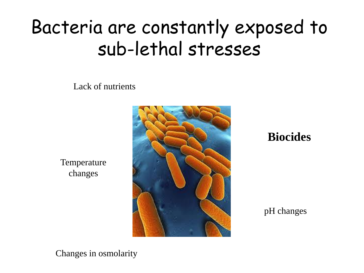#### Bacteria are constantly exposed to sub-lethal stresses

Lack of nutrients

**Temperature** changes



**Biocides**

pH changes

Changes in osmolarity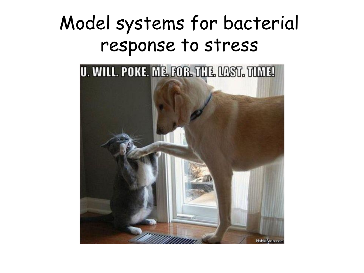#### Model systems for bacterial response to stress

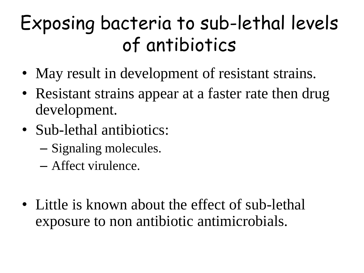### Exposing bacteria to sub-lethal levels of antibiotics

- May result in development of resistant strains.
- Resistant strains appear at a faster rate then drug development.
- Sub-lethal antibiotics:
	- Signaling molecules.
	- Affect virulence.
- Little is known about the effect of sub-lethal exposure to non antibiotic antimicrobials.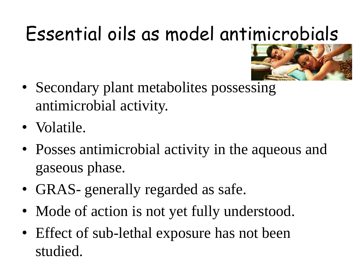# Essential oils as model antimicrobials



- Secondary plant metabolites possessing antimicrobial activity.
- Volatile.
- Posses antimicrobial activity in the aqueous and gaseous phase.
- GRAS- generally regarded as safe.
- Mode of action is not yet fully understood.
- Effect of sub-lethal exposure has not been studied.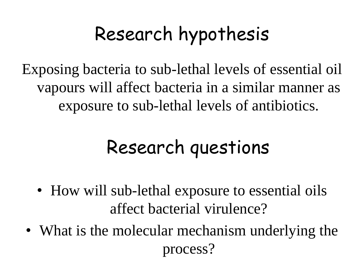## Research hypothesis

Exposing bacteria to sub-lethal levels of essential oil vapours will affect bacteria in a similar manner as exposure to sub-lethal levels of antibiotics.

#### Research questions

- How will sub-lethal exposure to essential oils affect bacterial virulence?
- What is the molecular mechanism underlying the process?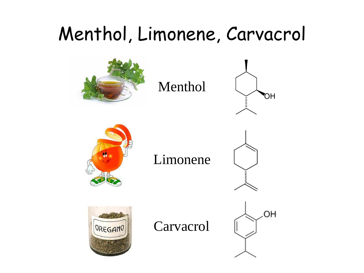### Menthol, Limonene, Carvacrol

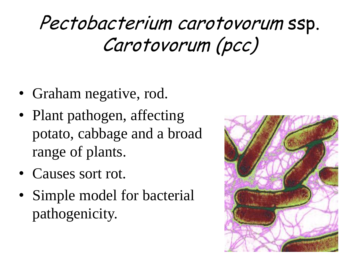#### Pectobacterium carotovorum ssp. Carotovorum (pcc)

- Graham negative, rod.
- Plant pathogen, affecting potato, cabbage and a broad range of plants.
- Causes sort rot.
- Simple model for bacterial pathogenicity.

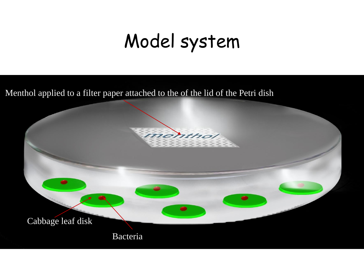#### Model system

Menthol applied to a filter paper attached to the of the lid of the Petri dish

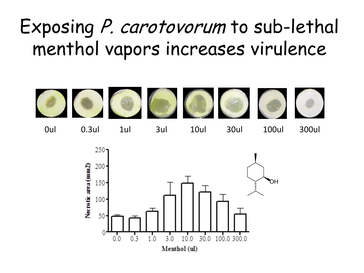#### Exposing P. carotovorum to sub-lethal menthol vapors increases virulence

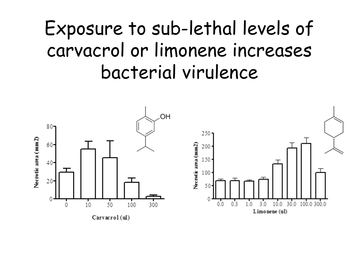#### Exposure to sub-lethal levels of carvacrol or limonene increases bacterial virulence

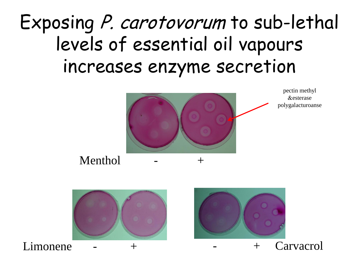#### Exposing P. carotovorum to sub-lethal levels of essential oil vapours increases enzyme secretion





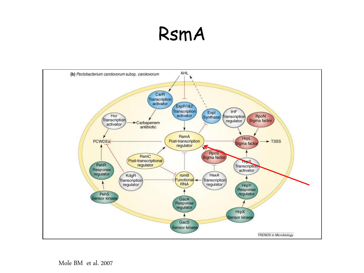#### RsmA

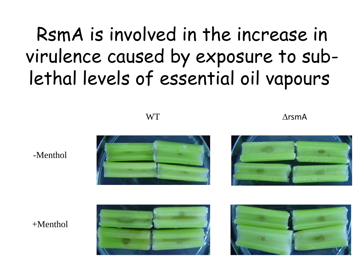#### RsmA is involved in the increase in virulence caused by exposure to sublethal levels of essential oil vapours

 $WT$   $\Delta$ rsmA



-Menthol





 $+M$ enthol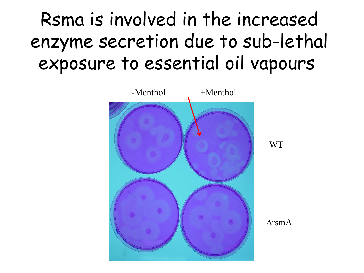#### Rsma is involved in the increased enzyme secretion due to sub-lethal exposure to essential oil vapours

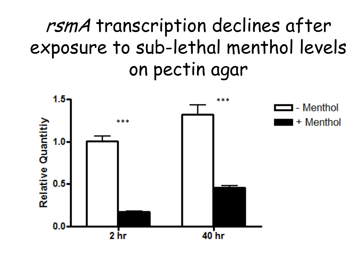#### rsmA transcription declines after exposure to sub-lethal menthol levels on pectin agar

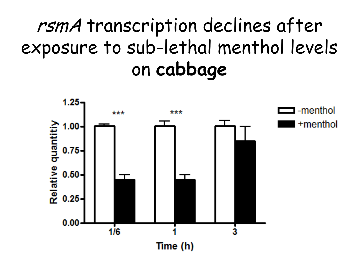#### rsmA transcription declines after exposure to sub-lethal menthol levels on **cabbage**

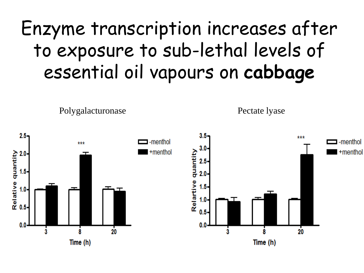#### Enzyme transcription increases after to exposure to sub-lethal levels of essential oil vapours on **cabbage**

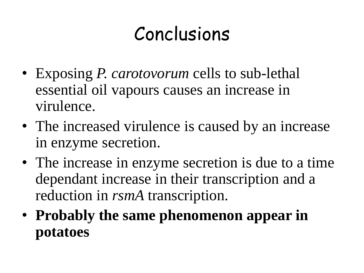### Conclusions

- Exposing *P. carotovorum* cells to sub-lethal essential oil vapours causes an increase in virulence.
- The increased virulence is caused by an increase in enzyme secretion.
- The increase in enzyme secretion is due to a time dependant increase in their transcription and a reduction in *rsmA* transcription.
- **Probably the same phenomenon appear in potatoes**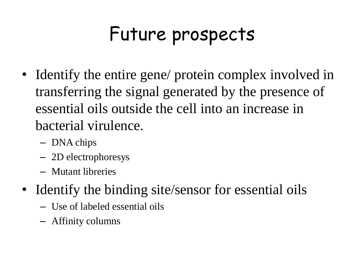### Future prospects

- Identify the entire gene/ protein complex involved in transferring the signal generated by the presence of essential oils outside the cell into an increase in bacterial virulence.
	- DNA chips
	- 2D electrophoresys
	- Mutant libreries
- Identify the binding site/sensor for essential oils
	- Use of labeled essential oils
	- Affinity columns